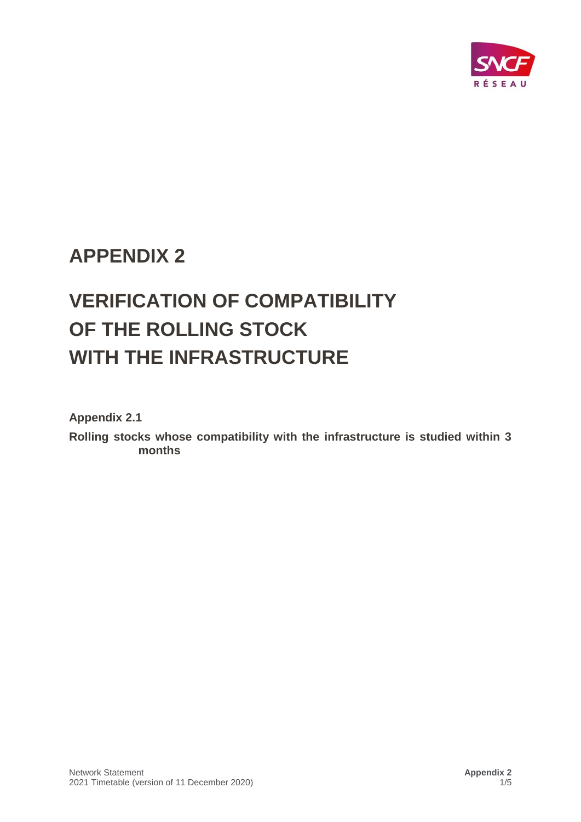

## **APPENDIX 2**

# **VERIFICATION OF COMPATIBILITY OF THE ROLLING STOCK WITH THE INFRASTRUCTURE**

**Appendix 2.1** 

**Rolling stocks whose compatibility with the infrastructure is studied within 3 months**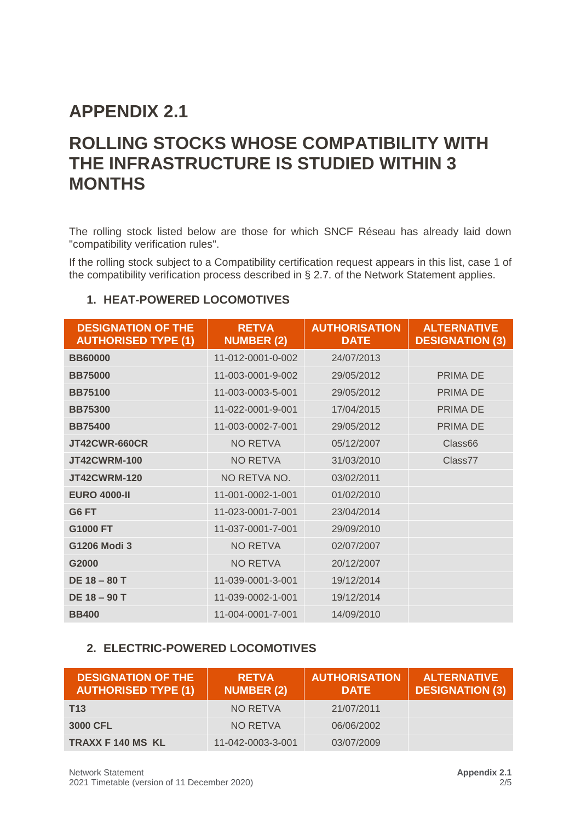### **APPENDIX 2.1**

### **ROLLING STOCKS WHOSE COMPATIBILITY WITH THE INFRASTRUCTURE IS STUDIED WITHIN 3 MONTHS**

The rolling stock listed below are those for which SNCF Réseau has already laid down "compatibility verification rules".

If the rolling stock subject to a Compatibility certification request appears in this list, case 1 of the compatibility verification process described in § 2.7. of the Network Statement applies.

#### **1. HEAT-POWERED LOCOMOTIVES**

| <b>DESIGNATION OF THE</b><br><b>AUTHORISED TYPE (1)</b> | <b>RETVA</b><br><b>NUMBER (2)</b> | <b>AUTHORISATION</b><br><b>DATE</b> | <b>ALTERNATIVE</b><br><b>DESIGNATION (3)</b> |
|---------------------------------------------------------|-----------------------------------|-------------------------------------|----------------------------------------------|
| <b>BB60000</b>                                          | 11-012-0001-0-002                 | 24/07/2013                          |                                              |
| <b>BB75000</b>                                          | 11-003-0001-9-002                 | 29/05/2012                          | PRIMA DE                                     |
| <b>BB75100</b>                                          | 11-003-0003-5-001                 | 29/05/2012                          | PRIMA DE                                     |
| <b>BB75300</b>                                          | 11-022-0001-9-001                 | 17/04/2015                          | PRIMA DE                                     |
| <b>BB75400</b>                                          | 11-003-0002-7-001                 | 29/05/2012                          | PRIMA DE                                     |
| <b>JT42CWR-660CR</b>                                    | <b>NO RETVA</b>                   | 05/12/2007                          | Class66                                      |
| <b>JT42CWRM-100</b>                                     | <b>NO RETVA</b>                   | 31/03/2010                          | Class77                                      |
| <b>JT42CWRM-120</b>                                     | NO RETVA NO.                      | 03/02/2011                          |                                              |
| <b>EURO 4000-II</b>                                     | 11-001-0002-1-001                 | 01/02/2010                          |                                              |
| G6 FT                                                   | 11-023-0001-7-001                 | 23/04/2014                          |                                              |
| G1000 FT                                                | 11-037-0001-7-001                 | 29/09/2010                          |                                              |
| G1206 Modi 3                                            | <b>NO RETVA</b>                   | 02/07/2007                          |                                              |
| G2000                                                   | <b>NO RETVA</b>                   | 20/12/2007                          |                                              |
| <b>DE 18 - 80 T</b>                                     | 11-039-0001-3-001                 | 19/12/2014                          |                                              |
| <b>DE 18 - 90 T</b>                                     | 11-039-0002-1-001                 | 19/12/2014                          |                                              |
| <b>BB400</b>                                            | 11-004-0001-7-001                 | 14/09/2010                          |                                              |

#### **2. ELECTRIC-POWERED LOCOMOTIVES**

| <b>DESIGNATION OF THE</b><br><b>AUTHORISED TYPE (1)</b> | <b>RETVA</b><br><b>NUMBER (2)</b> | <b>AUTHORISATION</b><br><b>DATE</b> | <b>ALTERNATIVE</b><br><b>DESIGNATION (3)</b> |
|---------------------------------------------------------|-----------------------------------|-------------------------------------|----------------------------------------------|
| T <sub>13</sub>                                         | NO RETVA                          | 21/07/2011                          |                                              |
| 3000 CFL                                                | NO RETVA                          | 06/06/2002                          |                                              |
| <b>TRAXX F 140 MS KL</b>                                | 11-042-0003-3-001                 | 03/07/2009                          |                                              |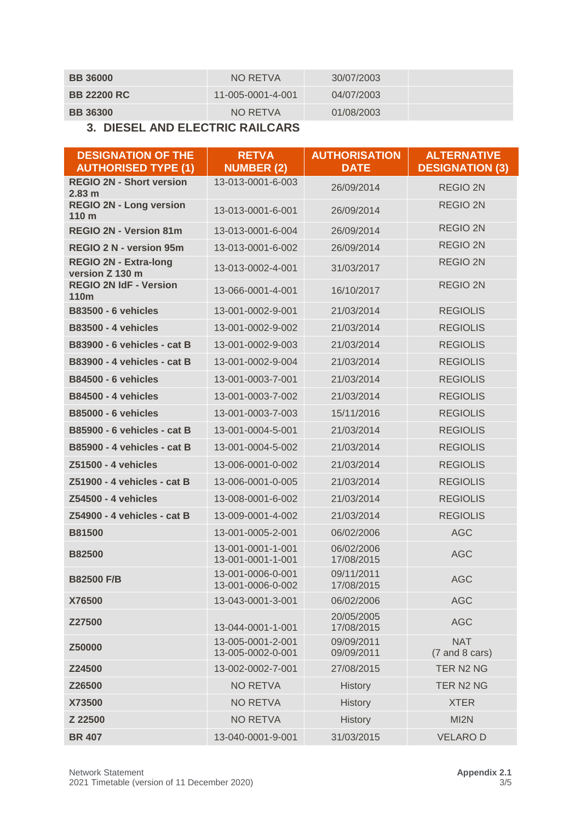| <b>BB 36000</b>    | NO RETVA          | 30/07/2003 |  |
|--------------------|-------------------|------------|--|
| <b>BB 22200 RC</b> | 11-005-0001-4-001 | 04/07/2003 |  |
| <b>BB 36300</b>    | NO RETVA          | 01/08/2003 |  |

#### **3. DIESEL AND ELECTRIC RAILCARS**

| <b>DESIGNATION OF THE</b><br><b>AUTHORISED TYPE (1)</b> | <b>RETVA</b><br><b>NUMBER (2)</b>      | <b>AUTHORISATION</b><br><b>DATE</b> | <b>ALTERNATIVE</b><br><b>DESIGNATION (3)</b> |
|---------------------------------------------------------|----------------------------------------|-------------------------------------|----------------------------------------------|
| <b>REGIO 2N - Short version</b><br>2.83 m               | 13-013-0001-6-003                      | 26/09/2014                          | <b>REGIO 2N</b>                              |
| <b>REGIO 2N - Long version</b><br>110 <sub>m</sub>      | 13-013-0001-6-001                      | 26/09/2014                          | <b>REGIO 2N</b>                              |
| REGIO 2N - Version 81m                                  | 13-013-0001-6-004                      | 26/09/2014                          | <b>REGIO 2N</b>                              |
| <b>REGIO 2 N - version 95m</b>                          | 13-013-0001-6-002                      | 26/09/2014                          | <b>REGIO 2N</b>                              |
| <b>REGIO 2N - Extra-long</b><br>version Z 130 m         | 13-013-0002-4-001                      | 31/03/2017                          | <b>REGIO 2N</b>                              |
| <b>REGIO 2N IdF - Version</b><br>110m                   | 13-066-0001-4-001                      | 16/10/2017                          | <b>REGIO 2N</b>                              |
| <b>B83500 - 6 vehicles</b>                              | 13-001-0002-9-001                      | 21/03/2014                          | <b>REGIOLIS</b>                              |
| <b>B83500 - 4 vehicles</b>                              | 13-001-0002-9-002                      | 21/03/2014                          | <b>REGIOLIS</b>                              |
| B83900 - 6 vehicles - cat B                             | 13-001-0002-9-003                      | 21/03/2014                          | <b>REGIOLIS</b>                              |
| <b>B83900 - 4 vehicles - cat B</b>                      | 13-001-0002-9-004                      | 21/03/2014                          | <b>REGIOLIS</b>                              |
| <b>B84500 - 6 vehicles</b>                              | 13-001-0003-7-001                      | 21/03/2014                          | <b>REGIOLIS</b>                              |
| <b>B84500 - 4 vehicles</b>                              | 13-001-0003-7-002                      | 21/03/2014                          | <b>REGIOLIS</b>                              |
| <b>B85000 - 6 vehicles</b>                              | 13-001-0003-7-003                      | 15/11/2016                          | <b>REGIOLIS</b>                              |
| B85900 - 6 vehicles - cat B                             | 13-001-0004-5-001                      | 21/03/2014                          | <b>REGIOLIS</b>                              |
| B85900 - 4 vehicles - cat B                             | 13-001-0004-5-002                      | 21/03/2014                          | <b>REGIOLIS</b>                              |
| Z51500 - 4 vehicles                                     | 13-006-0001-0-002                      | 21/03/2014                          | <b>REGIOLIS</b>                              |
| Z51900 - 4 vehicles - cat B                             | 13-006-0001-0-005                      | 21/03/2014                          | <b>REGIOLIS</b>                              |
| Z54500 - 4 vehicles                                     | 13-008-0001-6-002                      | 21/03/2014                          | <b>REGIOLIS</b>                              |
| Z54900 - 4 vehicles - cat B                             | 13-009-0001-4-002                      | 21/03/2014                          | <b>REGIOLIS</b>                              |
| <b>B81500</b>                                           | 13-001-0005-2-001                      | 06/02/2006                          | <b>AGC</b>                                   |
| <b>B82500</b>                                           | 13-001-0001-1-001<br>13-001-0001-1-001 | 06/02/2006<br>17/08/2015            | <b>AGC</b>                                   |
| <b>B82500 F/B</b>                                       | 13-001-0006-0-001<br>13-001-0006-0-002 | 09/11/2011<br>17/08/2015            | <b>AGC</b>                                   |
| X76500                                                  | 13-043-0001-3-001                      | 06/02/2006                          | <b>AGC</b>                                   |
| Z27500                                                  | 13-044-0001-1-001                      | 20/05/2005<br>17/08/2015            | <b>AGC</b>                                   |
| Z50000                                                  | 13-005-0001-2-001<br>13-005-0002-0-001 | 09/09/2011<br>09/09/2011            | <b>NAT</b><br>(7 and 8 cars)                 |
| Z24500                                                  | 13-002-0002-7-001                      | 27/08/2015                          | TER N2 NG                                    |
| Z26500                                                  | <b>NO RETVA</b>                        | History                             | TER N2 NG                                    |
| X73500                                                  | <b>NO RETVA</b>                        | <b>History</b>                      | <b>XTER</b>                                  |
| Z 22500                                                 | <b>NO RETVA</b>                        | <b>History</b>                      | MI2N                                         |
| <b>BR 407</b>                                           | 13-040-0001-9-001                      | 31/03/2015                          | <b>VELAROD</b>                               |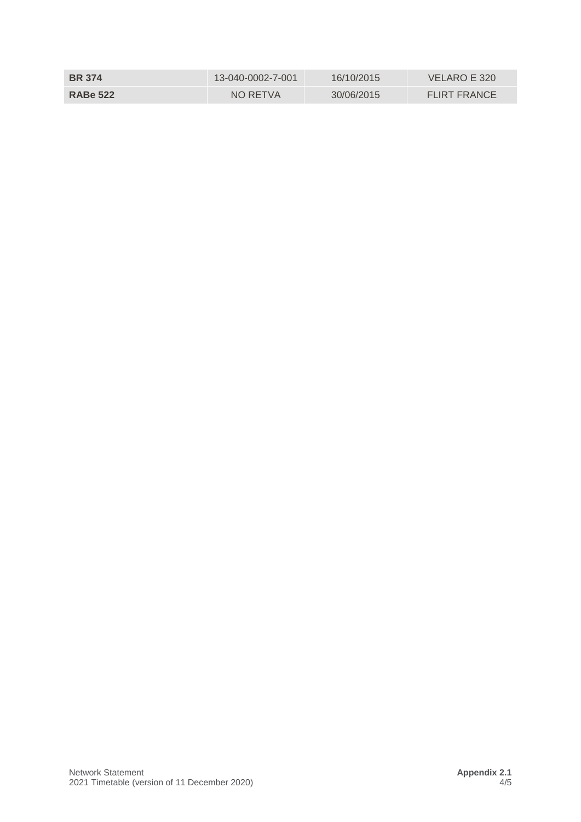| <b>BR</b> 374   | 13-040-0002-7-001 | 16/10/2015 | VELARO E 320        |
|-----------------|-------------------|------------|---------------------|
| <b>RABe 522</b> | NO RETVA          | 30/06/2015 | <b>FLIRT FRANCE</b> |